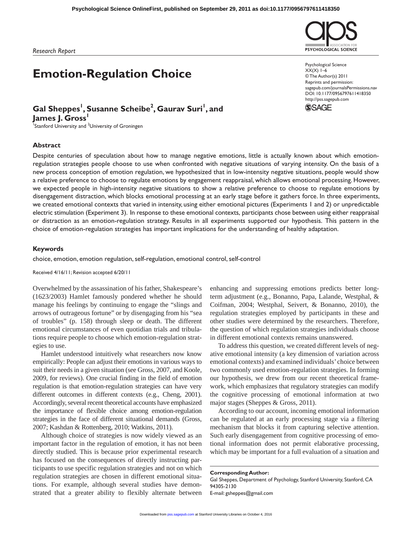# **Emotion-Regulation Choice**

# $Gal$  Sheppes<sup>1</sup>, Susanne Scheibe<sup>2</sup>, Gaurav Suri<sup>1</sup>, and James J. Gross<sup>1</sup>

<sup>1</sup> Stanford University and <sup>2</sup>University of Groningen

#### **Abstract**



Psychological Science  $XX(X)$  1–6 © The Author(s) 2011 Reprints and permission: sagepub.com/journalsPermissions.nav DOI: 10.1177/0956797611418350 http://pss.sagepub.com



Despite centuries of speculation about how to manage negative emotions, little is actually known about which emotionregulation strategies people choose to use when confronted with negative situations of varying intensity. On the basis of a new process conception of emotion regulation, we hypothesized that in low-intensity negative situations, people would show a relative preference to choose to regulate emotions by engagement reappraisal, which allows emotional processing. However, we expected people in high-intensity negative situations to show a relative preference to choose to regulate emotions by disengagement distraction, which blocks emotional processing at an early stage before it gathers force. In three experiments, we created emotional contexts that varied in intensity, using either emotional pictures (Experiments 1 and 2) or unpredictable electric stimulation (Experiment 3). In response to these emotional contexts, participants chose between using either reappraisal or distraction as an emotion-regulation strategy. Results in all experiments supported our hypothesis. This pattern in the choice of emotion-regulation strategies has important implications for the understanding of healthy adaptation.

#### **Keywords**

choice, emotion, emotion regulation, self-regulation, emotional control, self-control

Received 4/16/11; Revision accepted 6/20/11

Overwhelmed by the assassination of his father, Shakespeare's (1623/2003) Hamlet famously pondered whether he should manage his feelings by continuing to engage the "slings and arrows of outrageous fortune" or by disengaging from his "sea of troubles" (p. 158) through sleep or death. The different emotional circumstances of even quotidian trials and tribulations require people to choose which emotion-regulation strategies to use.

Hamlet understood intuitively what researchers now know empirically: People can adjust their emotions in various ways to suit their needs in a given situation (see Gross, 2007, and Koole, 2009, for reviews). One crucial finding in the field of emotion regulation is that emotion-regulation strategies can have very different outcomes in different contexts (e.g., Cheng, 2001). Accordingly, several recent theoretical accounts have emphasized the importance of flexible choice among emotion-regulation strategies in the face of different situational demands (Gross, 2007; Kashdan & Rottenberg, 2010; Watkins, 2011).

Although choice of strategies is now widely viewed as an important factor in the regulation of emotion, it has not been directly studied. This is because prior experimental research has focused on the consequences of directly instructing participants to use specific regulation strategies and not on which regulation strategies are chosen in different emotional situations. For example, although several studies have demonstrated that a greater ability to flexibly alternate between

enhancing and suppressing emotions predicts better longterm adjustment (e.g., Bonanno, Papa, Lalande, Westphal, & Coifman, 2004; Westphal, Seivert, & Bonanno, 2010), the regulation strategies employed by participants in these and other studies were determined by the researchers. Therefore, the question of which regulation strategies individuals choose in different emotional contexts remains unanswered.

To address this question, we created different levels of negative emotional intensity (a key dimension of variation across emotional contexts) and examined individuals' choice between two commonly used emotion-regulation strategies. In forming our hypothesis, we drew from our recent theoretical framework, which emphasizes that regulatory strategies can modify the cognitive processing of emotional information at two major stages (Sheppes & Gross, 2011).

According to our account, incoming emotional information can be regulated at an early processing stage via a filtering mechanism that blocks it from capturing selective attention. Such early disengagement from cognitive processing of emotional information does not permit elaborative processing, which may be important for a full evaluation of a situation and

**Corresponding Author:** Gal Sheppes, Department of Psychology, Stanford University, Stanford, CA 94305-2130 E-mail: gsheppes@gmail.com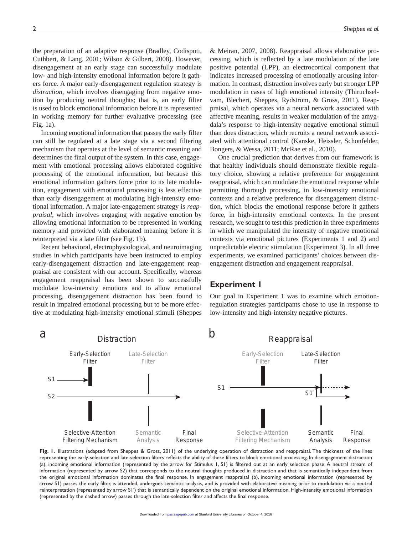the preparation of an adaptive response (Bradley, Codispoti, Cuthbert, & Lang, 2001; Wilson & Gilbert, 2008). However, disengagement at an early stage can successfully modulate low- and high-intensity emotional information before it gathers force. A major early-disengagement regulation strategy is *distraction*, which involves disengaging from negative emotion by producing neutral thoughts; that is, an early filter is used to block emotional information before it is represented in working memory for further evaluative processing (see Fig. 1a).

Incoming emotional information that passes the early filter can still be regulated at a late stage via a second filtering mechanism that operates at the level of semantic meaning and determines the final output of the system. In this case, engagement with emotional processing allows elaborated cognitive processing of the emotional information, but because this emotional information gathers force prior to its late modulation, engagement with emotional processing is less effective than early disengagement at modulating high-intensity emotional information. A major late-engagement strategy is *reappraisal*, which involves engaging with negative emotion by allowing emotional information to be represented in working memory and provided with elaborated meaning before it is reinterpreted via a late filter (see Fig. 1b).

Recent behavioral, electrophysiological, and neuroimaging studies in which participants have been instructed to employ early-disengagement distraction and late-engagement reappraisal are consistent with our account. Specifically, whereas engagement reappraisal has been shown to successfully modulate low-intensity emotions and to allow emotional processing, disengagement distraction has been found to result in impaired emotional processing but to be more effective at modulating high-intensity emotional stimuli (Sheppes

& Meiran, 2007, 2008). Reappraisal allows elaborative processing, which is reflected by a late modulation of the late positive potential (LPP), an electrocortical component that indicates increased processing of emotionally arousing information. In contrast, distraction involves early but stronger LPP modulation in cases of high emotional intensity (Thiruchselvam, Blechert, Sheppes, Rydstrom, & Gross, 2011). Reappraisal, which operates via a neural network associated with affective meaning, results in weaker modulation of the amygdala's response to high-intensity negative emotional stimuli than does distraction, which recruits a neural network associated with attentional control (Kanske, Heissler, Schonfelder, Bongers, & Wessa, 2011; McRae et al., 2010).

One crucial prediction that derives from our framework is that healthy individuals should demonstrate flexible regulatory choice, showing a relative preference for engagement reappraisal, which can modulate the emotional response while permitting thorough processing, in low-intensity emotional contexts and a relative preference for disengagement distraction, which blocks the emotional response before it gathers force, in high-intensity emotional contexts. In the present research, we sought to test this prediction in three experiments in which we manipulated the intensity of negative emotional contexts via emotional pictures (Experiments 1 and 2) and unpredictable electric stimulation (Experiment 3). In all three experiments, we examined participants' choices between disengagement distraction and engagement reappraisal.

# **Experiment 1**

Our goal in Experiment 1 was to examine which emotionregulation strategies participants chose to use in response to low-intensity and high-intensity negative pictures.



**Fig. 1.** Illustrations (adapted from Sheppes & Gross, 2011) of the underlying operation of distraction and reappraisal. The thickness of the lines representing the early-selection and late-selection filters reflects the ability of these filters to block emotional processing. In disengagement distraction (a), incoming emotional information (represented by the arrow for Stimulus 1, S1) is filtered out at an early selection phase. A neutral stream of information (represented by arrow S2) that corresponds to the neutral thoughts produced in distraction and that is semantically independent from the original emotional information dominates the final response. In engagement reappraisal (b), incoming emotional information (represented by arrow S1) passes the early filter, is attended, undergoes semantic analysis, and is provided with elaborative meaning prior to modulation via a neutral reinterpretation (represented by arrow S1') that is semantically dependent on the original emotional information. High-intensity emotional information (represented by the dashed arrow) passes through the late-selection filter and affects the final response.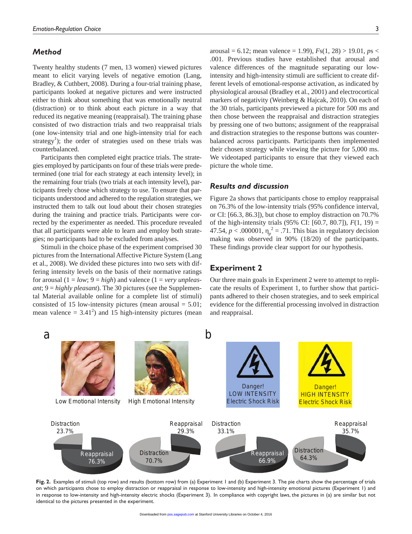# *Method*

Twenty healthy students (7 men, 13 women) viewed pictures meant to elicit varying levels of negative emotion (Lang, Bradley, & Cuthbert, 2008). During a four-trial training phase, participants looked at negative pictures and were instructed either to think about something that was emotionally neutral (distraction) or to think about each picture in a way that reduced its negative meaning (reappraisal). The training phase consisted of two distraction trials and two reappraisal trials (one low-intensity trial and one high-intensity trial for each strategy<sup>1</sup>); the order of strategies used on these trials was counterbalanced.

Participants then completed eight practice trials. The strategies employed by participants on four of these trials were predetermined (one trial for each strategy at each intensity level); in the remaining four trials (two trials at each intensity level), participants freely chose which strategy to use. To ensure that participants understood and adhered to the regulation strategies, we instructed them to talk out loud about their chosen strategies during the training and practice trials. Participants were corrected by the experimenter as needed. This procedure revealed that all participants were able to learn and employ both strategies; no participants had to be excluded from analyses.

Stimuli in the choice phase of the experiment comprised 30 pictures from the International Affective Picture System (Lang et al., 2008). We divided these pictures into two sets with differing intensity levels on the basis of their normative ratings for arousal  $(1 = low; 9 = high)$  and valence  $(1 = very\ unpleasant)$ *ant*; 9 = *highly pleasant*). The 30 pictures (see the Supplemental Material available online for a complete list of stimuli) consisted of 15 low-intensity pictures (mean arousal  $= 5.01$ ; mean valence  $= 3.41^2$ ) and 15 high-intensity pictures (mean

arousal = 6.12; mean valence = 1.99),  $Fs(1, 28) > 19.01$ ,  $ps <$ .001. Previous studies have established that arousal and valence differences of the magnitude separating our lowintensity and high-intensity stimuli are sufficient to create different levels of emotional-response activation, as indicated by physiological arousal (Bradley et al., 2001) and electrocortical markers of negativity (Weinberg & Hajcak, 2010). On each of the 30 trials, participants previewed a picture for 500 ms and then chose between the reappraisal and distraction strategies by pressing one of two buttons; assignment of the reappraisal and distraction strategies to the response buttons was counterbalanced across participants. Participants then implemented their chosen strategy while viewing the picture for 5,000 ms. We videotaped participants to ensure that they viewed each picture the whole time.

#### *Results and discussion*

Figure 2a shows that participants chose to employ reappraisal on 76.3% of the low-intensity trials (95% confidence interval, or CI: [66.3, 86.3]), but chose to employ distraction on 70.7% of the high-intensity trials (95% CI: [60.7, 80.7]), *F*(1, 19) = 47.54,  $p < .000001$ ,  $p^2 = .71$ . This bias in regulatory decision making was observed in 90% (18/20) of the participants. These findings provide clear support for our hypothesis.

#### **Experiment 2**

Our three main goals in Experiment 2 were to attempt to replicate the results of Experiment 1, to further show that participants adhered to their chosen strategies, and to seek empirical evidence for the differential processing involved in distraction and reappraisal.



Fig. 2. Examples of stimuli (top row) and results (bottom row) from (a) Experiment 1 and (b) Experiment 3. The pie charts show the percentage of trials on which participants chose to employ distraction or reappraisal in response to low-intensity and high-intensity emotional pictures (Experiment 1) and in response to low-intensity and high-intensity electric shocks (Experiment 3). In compliance with copyright laws, the pictures in (a) are similar but not identical to the pictures presented in the experiment.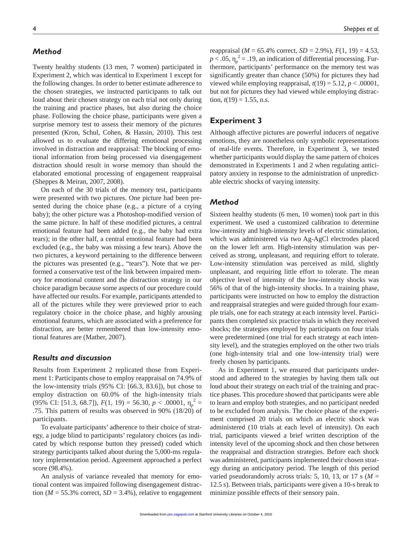# *Method*

Twenty healthy students (13 men, 7 women) participated in Experiment 2, which was identical to Experiment 1 except for the following changes. In order to better estimate adherence to the chosen strategies, we instructed participants to talk out loud about their chosen strategy on each trial not only during the training and practice phases, but also during the choice phase. Following the choice phase, participants were given a surprise memory test to assess their memory of the pictures presented (Kron, Schul, Cohen, & Hassin, 2010). This test allowed us to evaluate the differing emotional processing involved in distraction and reappraisal: The blocking of emotional information from being processed via disengagement distraction should result in worse memory than should the elaborated emotional processing of engagement reappraisal (Sheppes & Meiran, 2007, 2008).

On each of the 30 trials of the memory test, participants were presented with two pictures. One picture had been presented during the choice phase (e.g., a picture of a crying baby); the other picture was a Photoshop-modified version of the same picture. In half of these modified pictures, a central emotional feature had been added (e.g., the baby had extra tears); in the other half, a central emotional feature had been excluded (e.g., the baby was missing a few tears). Above the two pictures, a keyword pertaining to the difference between the pictures was presented (e.g., "tears"). Note that we performed a conservative test of the link between impaired memory for emotional content and the distraction strategy in our choice paradigm because some aspects of our procedure could have affected our results. For example, participants attended to all of the pictures while they were previewed prior to each regulatory choice in the choice phase, and highly arousing emotional features, which are associated with a preference for distraction, are better remembered than low-intensity emotional features are (Mather, 2007).

## *Results and discussion*

Results from Experiment 2 replicated those from Experiment 1: Participants chose to employ reappraisal on 74.9% of the low-intensity trials (95% CI: [66.3, 83.6]), but chose to employ distraction on 60.0% of the high-intensity trials (95% CI: [51.3, 68.7]),  $F(1, 19) = 56.30, p < .00001, \frac{p}{p} =$ .75. This pattern of results was observed in 90% (18/20) of participants.

To evaluate participants' adherence to their choice of strategy, a judge blind to participants' regulatory choices (as indicated by which response button they pressed) coded which strategy participants talked about during the 5,000-ms regulatory implementation period. Agreement approached a perfect score (98.4%).

An analysis of variance revealed that memory for emotional content was impaired following disengagement distraction ( $M = 55.3\%$  correct,  $SD = 3.4\%$ ), relative to engagement reappraisal ( $M = 65.4\%$  correct,  $SD = 2.9\%$ ),  $F(1, 19) = 4.53$ ,  $p < .05$ ,  $p^2 = .19$ , an indication of differential processing. Furthermore, participants' performance on the memory test was significantly greater than chance (50%) for pictures they had viewed while employing reappraisal,  $t(19) = 5.12$ ,  $p < .00001$ , but not for pictures they had viewed while employing distraction,  $t(19) = 1.55$ , n.s.

# **Experiment 3**

Although affective pictures are powerful inducers of negative emotions, they are nonetheless only symbolic representations of real-life events. Therefore, in Experiment 3, we tested whether participants would display the same pattern of choices demonstrated in Experiments 1 and 2 when regulating anticipatory anxiety in response to the administration of unpredictable electric shocks of varying intensity.

#### *Method*

Sixteen healthy students (6 men, 10 women) took part in this experiment. We used a customized calibration to determine low-intensity and high-intensity levels of electric stimulation, which was administered via two Ag-AgCl electrodes placed on the lower left arm. High-intensity stimulation was perceived as strong, unpleasant, and requiring effort to tolerate. Low-intensity stimulation was perceived as mild, slightly unpleasant, and requiring little effort to tolerate. The mean objective level of intensity of the low-intensity shocks was 56% of that of the high-intensity shocks. In a training phase, participants were instructed on how to employ the distraction and reappraisal strategies and were guided through four example trials, one for each strategy at each intensity level. Participants then completed six practice trials in which they received shocks; the strategies employed by participants on four trials were predetermined (one trial for each strategy at each intensity level), and the strategies employed on the other two trials (one high-intensity trial and one low-intensity trial) were freely chosen by participants.

As in Experiment 1, we ensured that participants understood and adhered to the strategies by having them talk out loud about their strategy on each trial of the training and practice phases. This procedure showed that participants were able to learn and employ both strategies, and no participant needed to be excluded from analysis. The choice phase of the experiment comprised 20 trials on which an electric shock was administered (10 trials at each level of intensity). On each trial, participants viewed a brief written description of the intensity level of the upcoming shock and then chose between the reappraisal and distraction strategies. Before each shock was administered, participants implemented their chosen strategy during an anticipatory period. The length of this period varied pseudorandomly across trials: 5, 10, 13, or 17 s  $(M =$ 12.5 s). Between trials, participants were given a 10-s break to minimize possible effects of their sensory pain.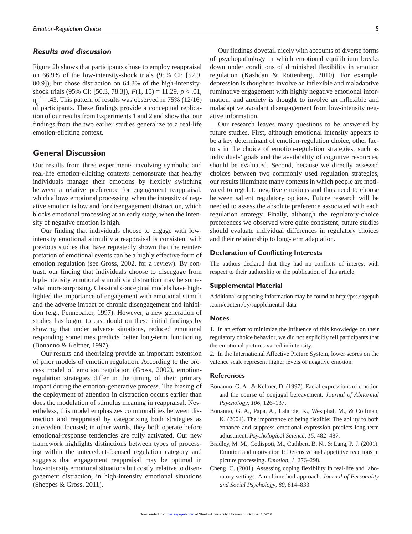### *Results and discussion*

Figure 2b shows that participants chose to employ reappraisal on 66.9% of the low-intensity-shock trials (95% CI: [52.9, 80.9]), but chose distraction on 64.3% of the high-intensityshock trials (95% CI: [50.3, 78.3]), *F*(1, 15) = 11.29, *p* < .01,  $p_p^2$  = .43. This pattern of results was observed in 75% (12/16) of participants. These findings provide a conceptual replication of our results from Experiments 1 and 2 and show that our findings from the two earlier studies generalize to a real-life emotion-eliciting context.

### **General Discussion**

Our results from three experiments involving symbolic and real-life emotion-eliciting contexts demonstrate that healthy individuals manage their emotions by flexibly switching between a relative preference for engagement reappraisal, which allows emotional processing, when the intensity of negative emotion is low and for disengagement distraction, which blocks emotional processing at an early stage, when the intensity of negative emotion is high.

Our finding that individuals choose to engage with lowintensity emotional stimuli via reappraisal is consistent with previous studies that have repeatedly shown that the reinterpretation of emotional events can be a highly effective form of emotion regulation (see Gross, 2002, for a review). By contrast, our finding that individuals choose to disengage from high-intensity emotional stimuli via distraction may be somewhat more surprising. Classical conceptual models have highlighted the importance of engagement with emotional stimuli and the adverse impact of chronic disengagement and inhibition (e.g., Pennebaker, 1997). However, a new generation of studies has begun to cast doubt on these initial findings by showing that under adverse situations, reduced emotional responding sometimes predicts better long-term functioning (Bonanno & Keltner, 1997).

Our results and theorizing provide an important extension of prior models of emotion regulation. According to the process model of emotion regulation (Gross, 2002), emotionregulation strategies differ in the timing of their primary impact during the emotion-generative process. The biasing of the deployment of attention in distraction occurs earlier than does the modulation of stimulus meaning in reappraisal. Nevertheless, this model emphasizes commonalities between distraction and reappraisal by categorizing both strategies as antecedent focused; in other words, they both operate before emotional-response tendencies are fully activated. Our new framework highlights distinctions between types of processing within the antecedent-focused regulation category and suggests that engagement reappraisal may be optimal in low-intensity emotional situations but costly, relative to disengagement distraction, in high-intensity emotional situations (Sheppes & Gross, 2011).

Our findings dovetail nicely with accounts of diverse forms of psychopathology in which emotional equilibrium breaks down under conditions of diminished flexibility in emotion regulation (Kashdan & Rottenberg, 2010). For example, depression is thought to involve an inflexible and maladaptive ruminative engagement with highly negative emotional information, and anxiety is thought to involve an inflexible and maladaptive avoidant disengagement from low-intensity negative information.

Our research leaves many questions to be answered by future studies. First, although emotional intensity appears to be a key determinant of emotion-regulation choice, other factors in the choice of emotion-regulation strategies, such as individuals' goals and the availability of cognitive resources, should be evaluated. Second, because we directly assessed choices between two commonly used regulation strategies, our results illuminate many contexts in which people are motivated to regulate negative emotions and thus need to choose between salient regulatory options. Future research will be needed to assess the absolute preference associated with each regulation strategy. Finally, although the regulatory-choice preferences we observed were quite consistent, future studies should evaluate individual differences in regulatory choices and their relationship to long-term adaptation.

#### **Declaration of Conflicting Interests**

The authors declared that they had no conflicts of interest with respect to their authorship or the publication of this article.

#### **Supplemental Material**

Additional supporting information may be found at http://pss.sagepub .com/content/by/supplemental-data

#### **Notes**

1. In an effort to minimize the influence of this knowledge on their regulatory choice behavior, we did not explicitly tell participants that the emotional pictures varied in intensity.

2. In the International Affective Picture System, lower scores on the valence scale represent higher levels of negative emotion.

#### **References**

- Bonanno, G. A., & Keltner, D. (1997). Facial expressions of emotion and the course of conjugal bereavement. *Journal of Abnormal Psychology*, *106*, 126–137.
- Bonanno, G. A., Papa, A., Lalande, K., Westphal, M., & Coifman, K. (2004). The importance of being flexible: The ability to both enhance and suppress emotional expression predicts long-term adjustment. *Psychological Science*, *15*, 482–487.
- Bradley, M. M., Codispoti, M., Cuthbert, B. N., & Lang, P. J. (2001). Emotion and motivation I: Defensive and appetitive reactions in picture processing. *Emotion*, *1*, 276–298.
- Cheng, C. (2001). Assessing coping flexibility in real-life and laboratory settings: A multimethod approach. *Journal of Personality and Social Psychology*, *80*, 814–833.